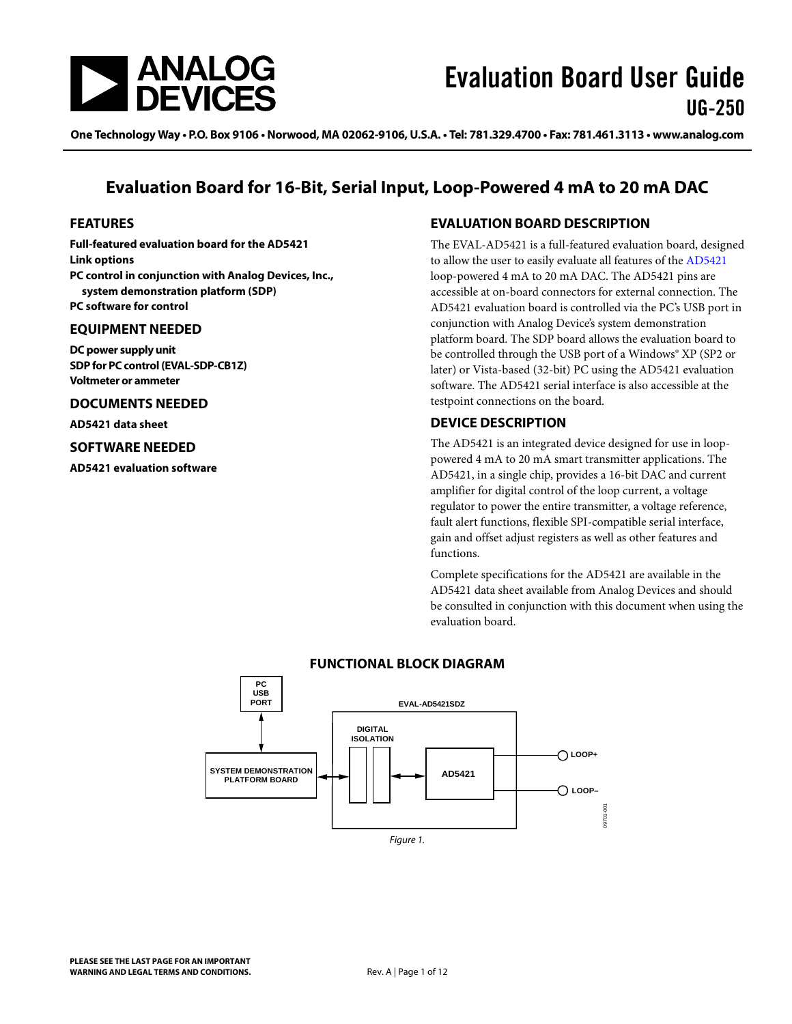

One Technology Way • P.O. Box 9106 • Norwood, MA 02062-9106, U.S.A. • Tel: 781.329.4700 • Fax: 781.461.3113 • www.analog.com

## **Evaluation Board for 16-Bit, Serial Input, Loop-Powered 4 mA to 20 mA DAC**

#### <span id="page-0-0"></span>**FEATURES**

**Full-featured evaluation board for the AD5421 Link options PC control in conjunction with Analog Devices, Inc., system demonstration platform (SDP) PC software for control**

#### <span id="page-0-1"></span>**EQUIPMENT NEEDED**

**DC power supply unit SDP for PC control (EVAL-SDP-CB1Z) Voltmeter or ammeter**

#### <span id="page-0-2"></span>**DOCUMENTS NEEDED**

**AD5421 data sheet**

#### <span id="page-0-3"></span>**SOFTWARE NEEDED**

**AD5421 evaluation software**

### <span id="page-0-4"></span>**EVALUATION BOARD DESCRIPTION**

The EVAL-AD5421 is a full-featured evaluation board, designed to allow the user to easily evaluate all features of th[e AD5421](http://www.analog.com/AD5421) loop-powered 4 mA to 20 mA DAC. The [AD5421](http://www.analog.com/ad5421) pins are accessible at on-board connectors for external connection. The AD5421 evaluation board is controlled via the PC's USB port in conjunction with Analog Device's system demonstration platform board. The SDP board allows the evaluation board to be controlled through the USB port of a Windows® XP (SP2 or later) or Vista-based (32-bit) PC using th[e AD5421](http://www.analog.com/ad5421) evaluation software. The AD5421 serial interface is also accessible at the testpoint connections on the board.

### <span id="page-0-5"></span>**DEVICE DESCRIPTION**

The [AD5421](http://www.analog.com/AD5421) is an integrated device designed for use in looppowered 4 mA to 20 mA smart transmitter applications. The [AD5421,](http://www.analog.com/AD5421) in a single chip, provides a 16-bit DAC and current amplifier for digital control of the loop current, a voltage regulator to power the entire transmitter, a voltage reference, fault alert functions, flexible SPI-compatible serial interface, gain and offset adjust registers as well as other features and functions.

Complete specifications for the [AD5421](http://www.analog.com/AD5421) are available in the [AD5421](http://www.analog.com/AD5421) data sheet available from Analog Devices and should be consulted in conjunction with this document when using the evaluation board.

### **FUNCTIONAL BLOCK DIAGRAM**

<span id="page-0-6"></span>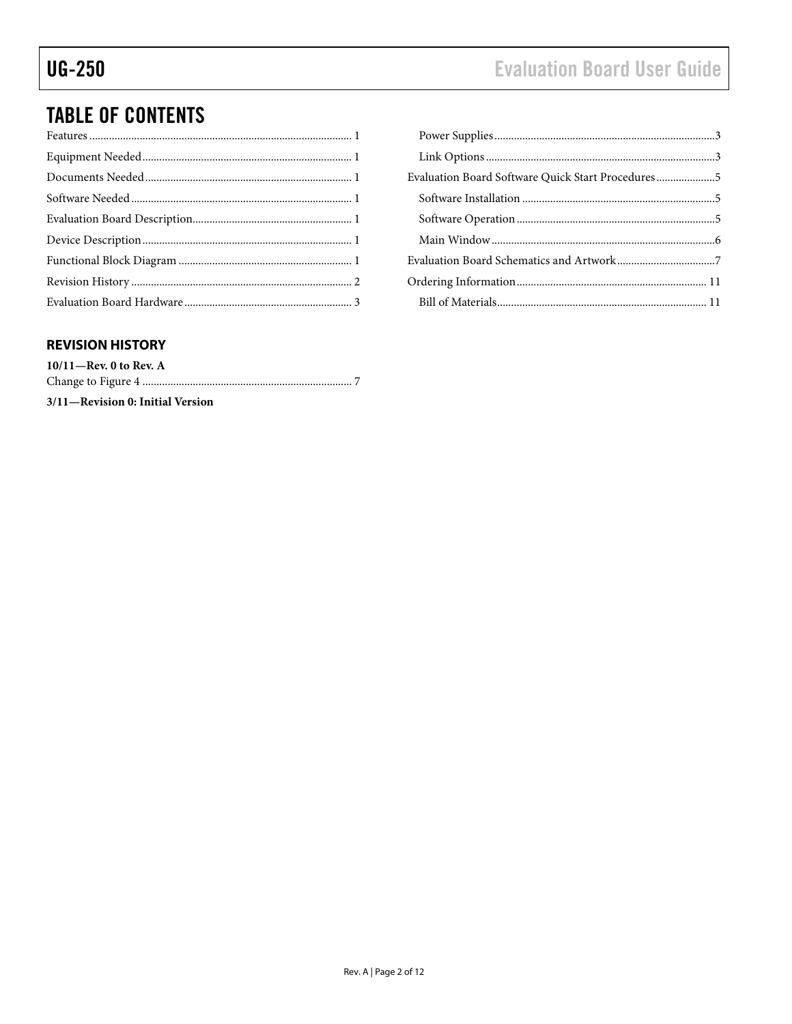## **TABLE OF CONTENTS**

# **Evaluation Board User Guide**

| Evaluation Board Software Quick Start Procedures5 |  |
|---------------------------------------------------|--|
|                                                   |  |
|                                                   |  |
|                                                   |  |
|                                                   |  |
|                                                   |  |
|                                                   |  |

## <span id="page-1-0"></span>**REVISION HISTORY**

| $10/11$ —Rev. 0 to Rev. A        |  |
|----------------------------------|--|
|                                  |  |
| 3/11—Revision 0: Initial Version |  |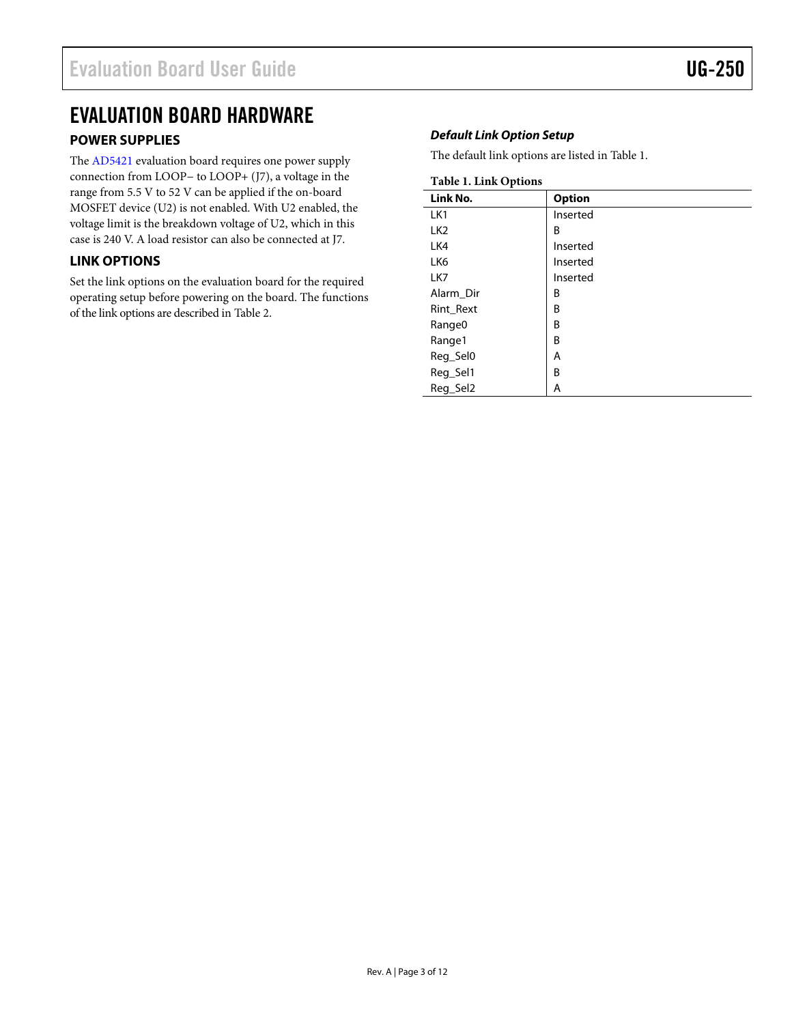## <span id="page-2-0"></span>EVALUATION BOARD HARDWARE

## <span id="page-2-1"></span>**POWER SUPPLIES**

The [AD5421](http://www.analog.com/AD5421) evaluation board requires one power supply connection from LOOP− to LOOP+ (J7), a voltage in the range from 5.5 V to 52 V can be applied if the on-board MOSFET device (U2) is not enabled. With U2 enabled, the voltage limit is the breakdown voltage of U2, which in this case is 240 V. A load resistor can also be connected at J7.

## <span id="page-2-2"></span>**LINK OPTIONS**

Set the link options on the evaluation board for the required operating setup before powering on the board. The functions of the link options are described in [Table 2.](#page-3-0)

## *Default Link Option Setup*

The default link options are listed in [Table 1.](#page-2-3)

#### <span id="page-2-3"></span>**Table 1. Link Options**

| -<br>Link No.   | <b>Option</b> |
|-----------------|---------------|
| LK1             | Inserted      |
| LK <sub>2</sub> | B             |
| LK4             | Inserted      |
| LK6             | Inserted      |
| LK7             | Inserted      |
| Alarm_Dir       | B             |
| Rint_Rext       | B             |
| Range0          | B             |
| Range1          | B             |
| Reg_Sel0        | Α             |
| Reg_Sel1        | B             |
| Reg_Sel2        | Α             |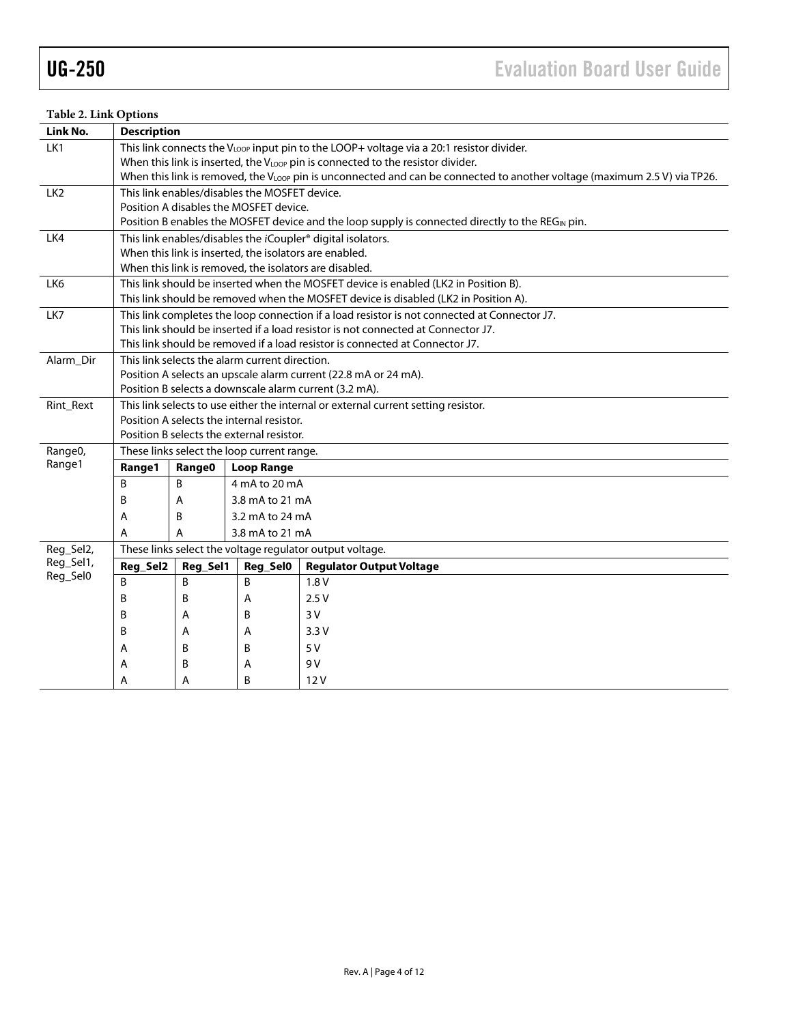## <span id="page-3-0"></span>**Table 2. Link Options**

| Link No.                  | <b>Description</b>                                                                                                                                                |          |                                                        |                                                                                                  |  |
|---------------------------|-------------------------------------------------------------------------------------------------------------------------------------------------------------------|----------|--------------------------------------------------------|--------------------------------------------------------------------------------------------------|--|
| LK1                       | This link connects the VLOOP input pin to the LOOP+ voltage via a 20:1 resistor divider.                                                                          |          |                                                        |                                                                                                  |  |
|                           | When this link is inserted, the VLOOP pin is connected to the resistor divider.                                                                                   |          |                                                        |                                                                                                  |  |
|                           | When this link is removed, the $V_{\text{LOOP}}$ pin is unconnected and can be connected to another voltage (maximum 2.5 V) via TP26.                             |          |                                                        |                                                                                                  |  |
| LK <sub>2</sub>           | This link enables/disables the MOSFET device.                                                                                                                     |          |                                                        |                                                                                                  |  |
|                           | Position A disables the MOSFET device.                                                                                                                            |          |                                                        |                                                                                                  |  |
|                           |                                                                                                                                                                   |          |                                                        | Position B enables the MOSFET device and the loop supply is connected directly to the REGIN pin. |  |
| LK4                       | This link enables/disables the <i>i</i> Coupler <sup>®</sup> digital isolators.                                                                                   |          |                                                        |                                                                                                  |  |
|                           |                                                                                                                                                                   |          | When this link is inserted, the isolators are enabled. |                                                                                                  |  |
|                           |                                                                                                                                                                   |          |                                                        | When this link is removed, the isolators are disabled.                                           |  |
| LK <sub>6</sub>           |                                                                                                                                                                   |          |                                                        | This link should be inserted when the MOSFET device is enabled (LK2 in Position B).              |  |
|                           |                                                                                                                                                                   |          |                                                        | This link should be removed when the MOSFET device is disabled (LK2 in Position A).              |  |
| LK7                       | This link completes the loop connection if a load resistor is not connected at Connector J7.                                                                      |          |                                                        |                                                                                                  |  |
|                           | This link should be inserted if a load resistor is not connected at Connector J7.<br>This link should be removed if a load resistor is connected at Connector J7. |          |                                                        |                                                                                                  |  |
|                           |                                                                                                                                                                   |          |                                                        |                                                                                                  |  |
| Alarm_Dir                 | This link selects the alarm current direction.                                                                                                                    |          |                                                        |                                                                                                  |  |
|                           | Position A selects an upscale alarm current (22.8 mA or 24 mA).<br>Position B selects a downscale alarm current (3.2 mA).                                         |          |                                                        |                                                                                                  |  |
| Rint_Rext                 |                                                                                                                                                                   |          |                                                        | This link selects to use either the internal or external current setting resistor.               |  |
|                           |                                                                                                                                                                   |          | Position A selects the internal resistor.              |                                                                                                  |  |
|                           |                                                                                                                                                                   |          | Position B selects the external resistor.              |                                                                                                  |  |
| Range0,                   | These links select the loop current range.                                                                                                                        |          |                                                        |                                                                                                  |  |
| Range1                    | Range1                                                                                                                                                            | Range0   | <b>Loop Range</b>                                      |                                                                                                  |  |
|                           | B                                                                                                                                                                 | B        | 4 mA to 20 mA                                          |                                                                                                  |  |
|                           | B                                                                                                                                                                 | A        | 3.8 mA to 21 mA                                        |                                                                                                  |  |
| 3.2 mA to 24 mA<br>Α<br>B |                                                                                                                                                                   |          |                                                        |                                                                                                  |  |
|                           | A                                                                                                                                                                 | A        | 3.8 mA to 21 mA                                        |                                                                                                  |  |
| Reg_Sel2,                 |                                                                                                                                                                   |          |                                                        | These links select the voltage regulator output voltage.                                         |  |
| Reg_Sel1,                 | Reg_Sel2                                                                                                                                                          | Reg_Sel1 | Reg_Sel0                                               | <b>Regulator Output Voltage</b>                                                                  |  |
| Reg_Sel0                  | B                                                                                                                                                                 | B        | B                                                      | 1.8V                                                                                             |  |
|                           | B                                                                                                                                                                 | B        | A                                                      | 2.5V                                                                                             |  |
|                           | B                                                                                                                                                                 | А        | B                                                      | 3V                                                                                               |  |
|                           | B                                                                                                                                                                 | А        | A                                                      | 3.3V                                                                                             |  |
|                           | А                                                                                                                                                                 | B        | B                                                      | 5 V                                                                                              |  |
|                           | Α                                                                                                                                                                 | В        | Α                                                      | 9 V                                                                                              |  |
|                           |                                                                                                                                                                   |          | B                                                      |                                                                                                  |  |
|                           | Α                                                                                                                                                                 | А        |                                                        | 12V                                                                                              |  |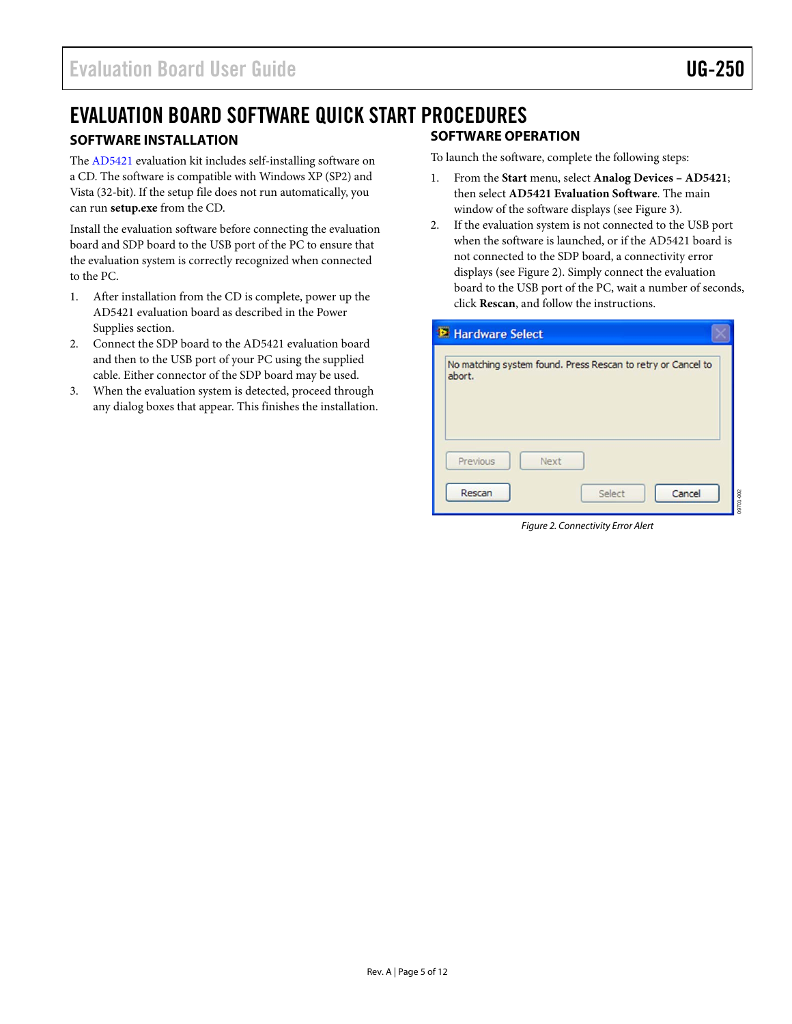# <span id="page-4-0"></span>EVALUATION BOARD SOFTWARE QUICK START PROCEDURES

## <span id="page-4-1"></span>**SOFTWARE INSTALLATION**

The [AD5421](http://www.analog.com/AD5421) evaluation kit includes self-installing software on a CD. The software is compatible with Windows XP (SP2) and Vista (32-bit). If the setup file does not run automatically, you can run **setup.exe** from the CD.

Install the evaluation software before connecting the evaluation board and SDP board to the USB port of the PC to ensure that the evaluation system is correctly recognized when connected to the PC.

- 1. After installation from the CD is complete, power up the [AD5421](http://www.analog.com/AD5421) evaluation board as described in the [Power](#page-2-1)  [Supplies](#page-2-1) section.
- 2. Connect the SDP board to th[e AD5421](http://www.analog.com/AD5421) evaluation board and then to the USB port of your PC using the supplied cable. Either connector of the SDP board may be used.
- 3. When the evaluation system is detected, proceed through any dialog boxes that appear. This finishes the installation.

## <span id="page-4-2"></span>**SOFTWARE OPERATION**

To launch the software, complete the following steps:

- 1. From the **Start** menu, select **Analog Devices – AD5421**; then select **AD5421 Evaluation Software**. The main window of the software displays (see [Figure 3\)](#page-5-1).
- 2. If the evaluation system is not connected to the USB port when the software is launched, or if th[e AD5421](http://www.analog.com/AD5421) board is not connected to the SDP board, a connectivity error displays (see Figure 2). Simply connect the evaluation board to the USB port of the PC, wait a number of seconds, click **Rescan**, and follow the instructions.

| abort.   | No matching system found. Press Rescan to retry or Cancel to |  |
|----------|--------------------------------------------------------------|--|
|          |                                                              |  |
| Previous | Next                                                         |  |
|          |                                                              |  |

*Figure 2. Connectivity Error Alert*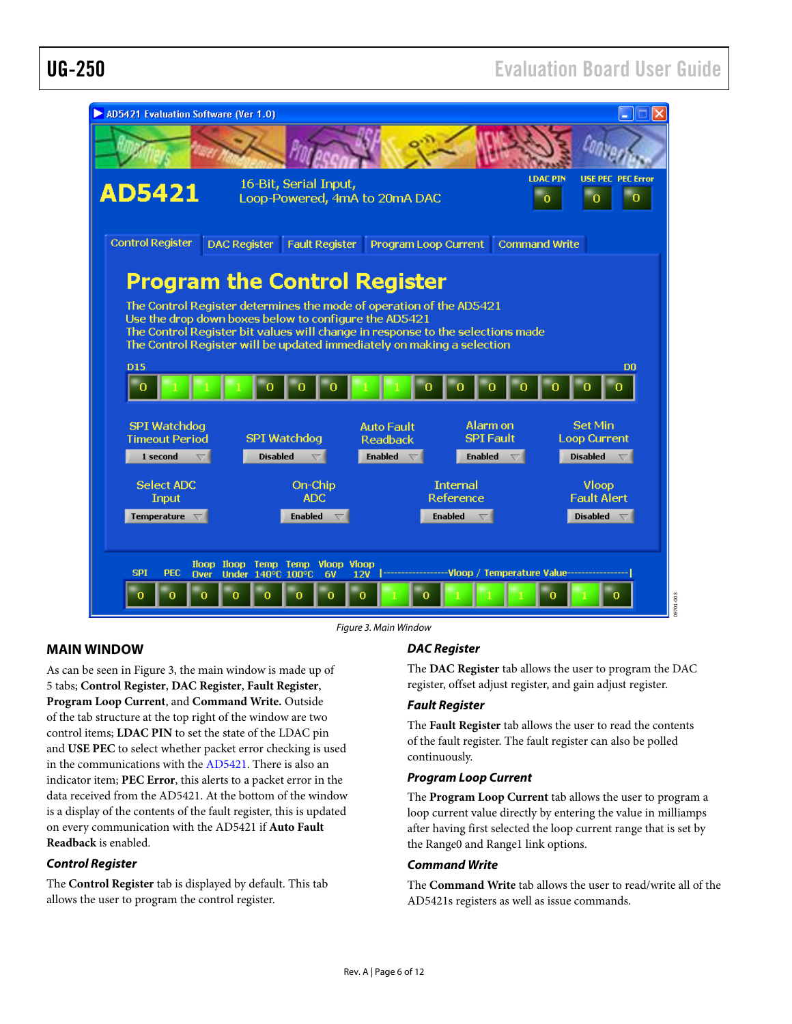<span id="page-5-1"></span>



*Figure 3. Main Window*

## <span id="page-5-0"></span>**MAIN WINDOW**

As can be seen in Figure 3, the main window is made up of 5 tabs; **Control Register**, **DAC Register**, **Fault Register**, **Program Loop Current**, and **Command Write.** Outside of the tab structure at the top right of the window are two control items; **LDAC PIN** to set the state of the LDAC pin and **USE PEC** to select whether packet error checking is used in the communications with th[e AD5421.](http://www.analog.com/AD5421) There is also an indicator item; **PEC Error**, this alerts to a packet error in the data received from the [AD5421.](http://www.analog.com/AD5421) At the bottom of the window is a display of the contents of the fault register, this is updated on every communication with th[e AD5421](http://www.analog.com/AD5421) if **Auto Fault Readback** is enabled.

### *Control Register*

The **Control Register** tab is displayed by default. This tab allows the user to program the control register.

## *DAC Register*

The **DAC Register** tab allows the user to program the DAC register, offset adjust register, and gain adjust register.

### *Fault Register*

The **Fault Register** tab allows the user to read the contents of the fault register. The fault register can also be polled continuously.

#### *Program Loop Current*

The **Program Loop Current** tab allows the user to program a loop current value directly by entering the value in milliamps after having first selected the loop current range that is set by the Range0 and Range1 link options.

### *Command Write*

The **Command Write** tab allows the user to read/write all of the [AD5421s](http://www.analog.com/AD5421) registers as well as issue commands.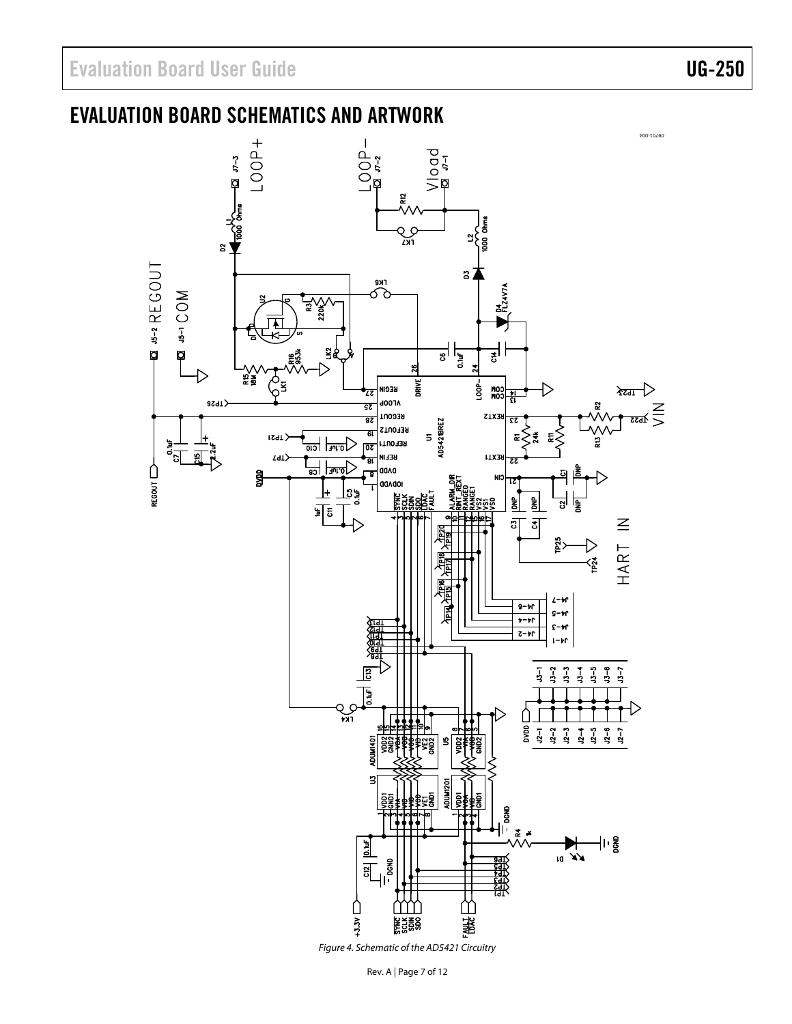## <span id="page-6-0"></span>EVALUATION BOARD SCHEMATICS AND ARTWORK



*Figure 4. Schematic of the AD5421 Circuitry*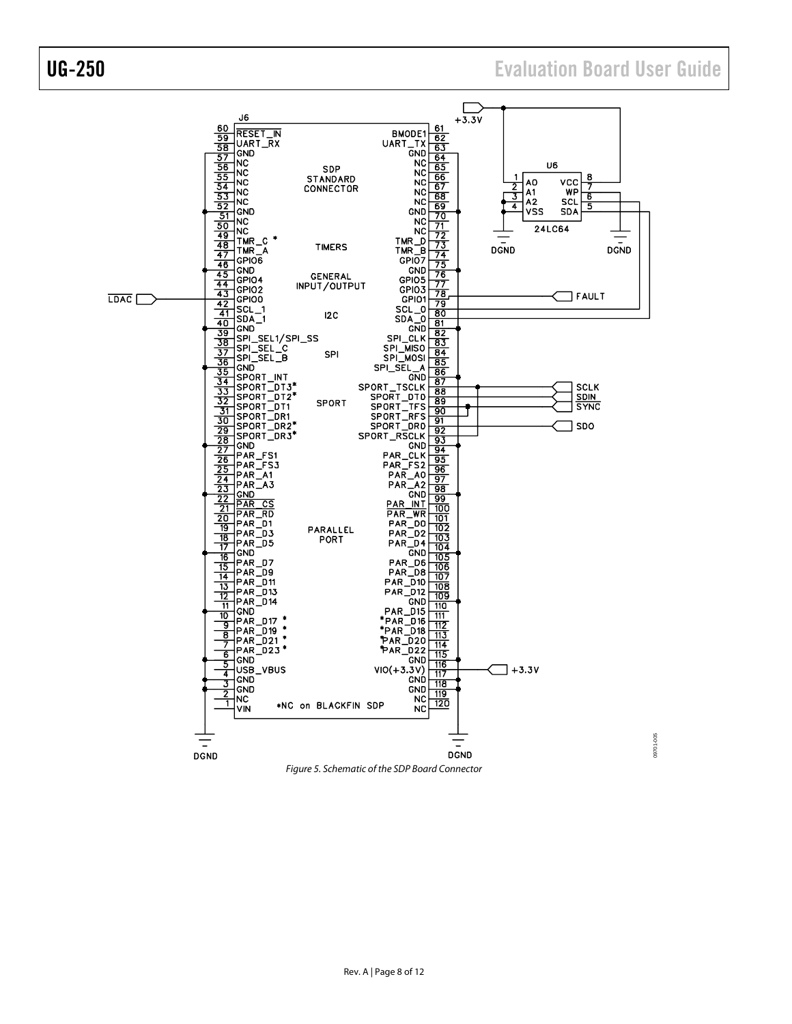UG-250 Evaluation Board User Guide

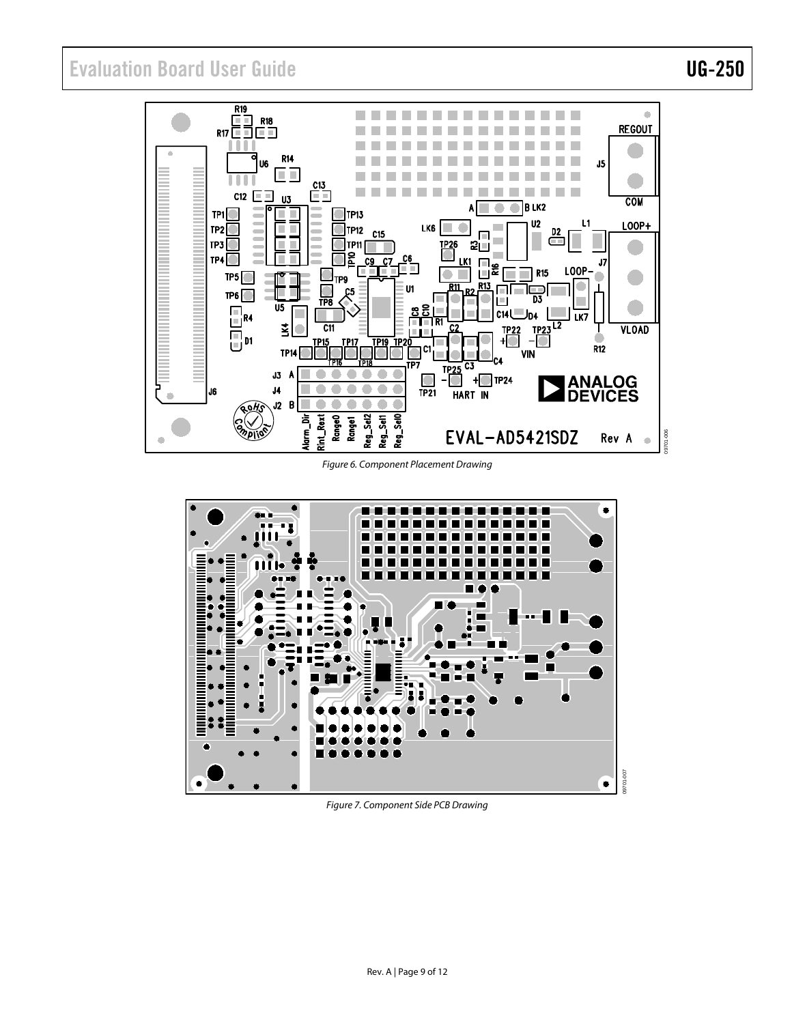# Evaluation Board User Guide Communication Control of Control of Control Control of Control Control Of Control O



*Figure 6. Component Placement Drawing*



*Figure 7. Component Side PCB Drawing*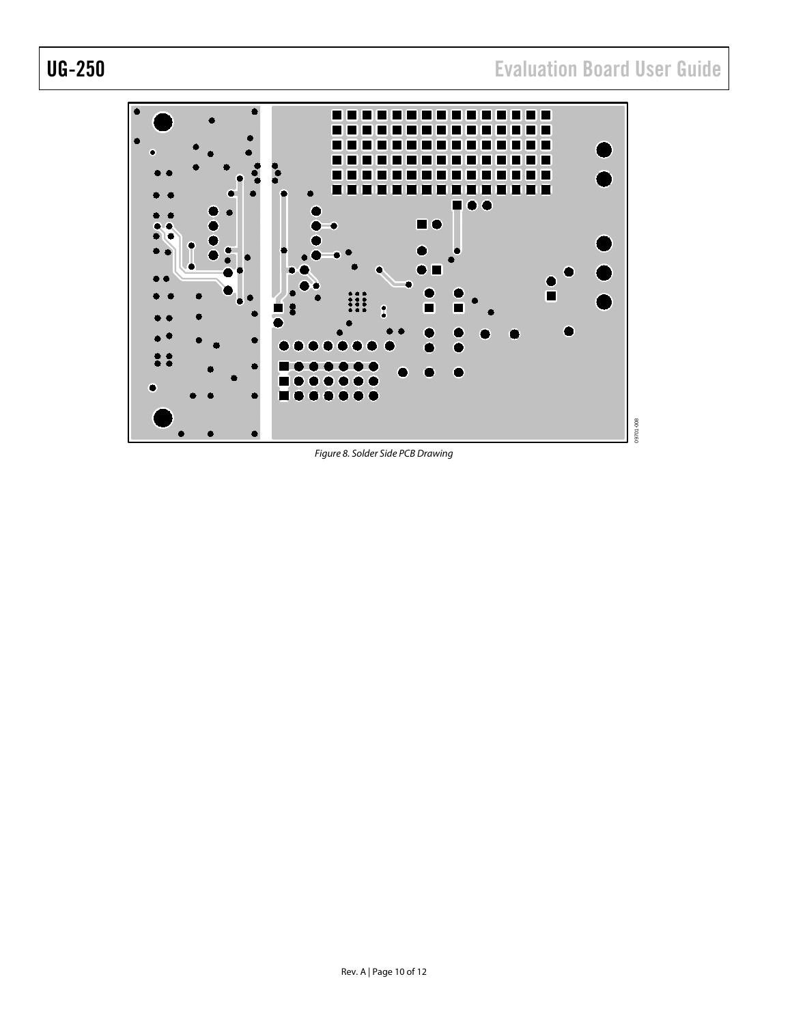

*Figure 8. Solder Side PCB Drawing*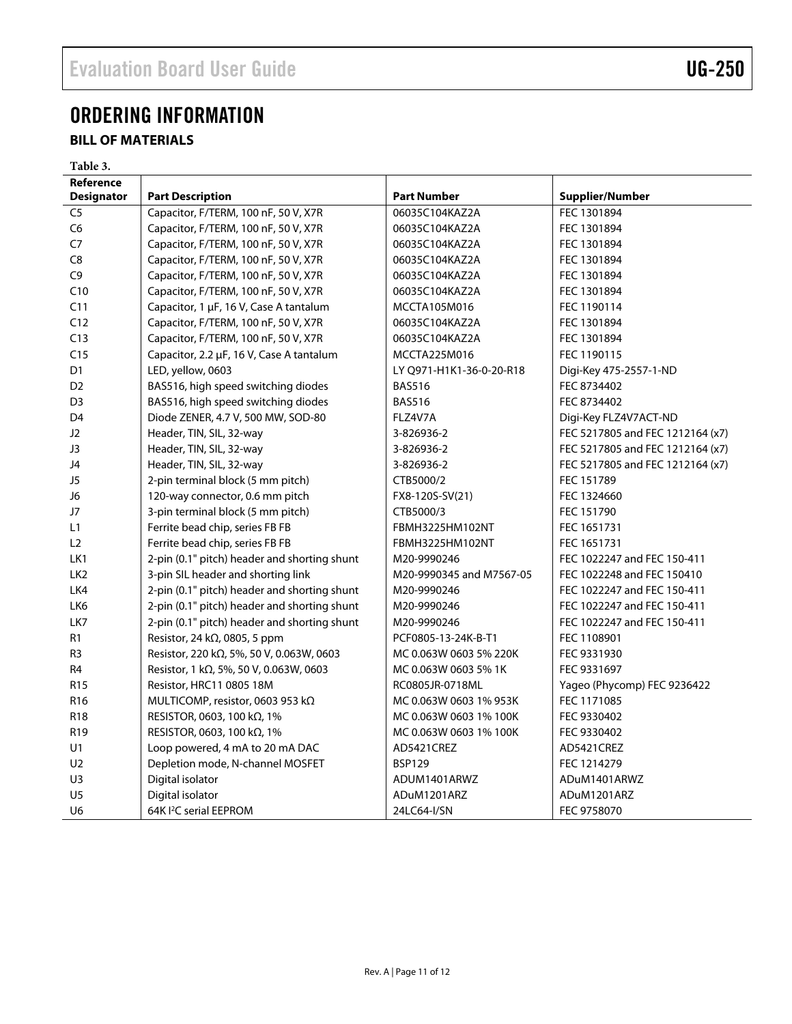## <span id="page-10-0"></span>ORDERING INFORMATION

## <span id="page-10-1"></span>**BILL OF MATERIALS**

**Table 3.**

| Reference         |                                              |                          |                                  |
|-------------------|----------------------------------------------|--------------------------|----------------------------------|
| <b>Designator</b> | <b>Part Description</b>                      | <b>Part Number</b>       | Supplier/Number                  |
| C5                | Capacitor, F/TERM, 100 nF, 50 V, X7R         | 06035C104KAZ2A           | FEC 1301894                      |
| C <sub>6</sub>    | Capacitor, F/TERM, 100 nF, 50 V, X7R         | 06035C104KAZ2A           | FEC 1301894                      |
| C7                | Capacitor, F/TERM, 100 nF, 50 V, X7R         | 06035C104KAZ2A           | FEC 1301894                      |
| C8                | Capacitor, F/TERM, 100 nF, 50 V, X7R         | 06035C104KAZ2A           | FEC 1301894                      |
| C9                | Capacitor, F/TERM, 100 nF, 50 V, X7R         | 06035C104KAZ2A           | FEC 1301894                      |
| C10               | Capacitor, F/TERM, 100 nF, 50 V, X7R         | 06035C104KAZ2A           | FEC 1301894                      |
| C11               | Capacitor, 1 µF, 16 V, Case A tantalum       | MCCTA105M016             | FEC 1190114                      |
| C12               | Capacitor, F/TERM, 100 nF, 50 V, X7R         | 06035C104KAZ2A           | FEC 1301894                      |
| C13               | Capacitor, F/TERM, 100 nF, 50 V, X7R         | 06035C104KAZ2A           | FEC 1301894                      |
| C15               | Capacitor, 2.2 µF, 16 V, Case A tantalum     | MCCTA225M016             | FEC 1190115                      |
| D1                | LED, yellow, 0603                            | LY Q971-H1K1-36-0-20-R18 | Digi-Key 475-2557-1-ND           |
| D <sub>2</sub>    | BAS516, high speed switching diodes          | <b>BAS516</b>            | FEC 8734402                      |
| D <sub>3</sub>    | BAS516, high speed switching diodes          | <b>BAS516</b>            | FEC 8734402                      |
| D <sub>4</sub>    | Diode ZENER, 4.7 V, 500 MW, SOD-80           | FLZ4V7A                  | Digi-Key FLZ4V7ACT-ND            |
| J2                | Header, TIN, SIL, 32-way                     | 3-826936-2               | FEC 5217805 and FEC 1212164 (x7) |
| J3                | Header, TIN, SIL, 32-way                     | 3-826936-2               | FEC 5217805 and FEC 1212164 (x7) |
| J4                | Header, TIN, SIL, 32-way                     | 3-826936-2               | FEC 5217805 and FEC 1212164 (x7) |
| J5                | 2-pin terminal block (5 mm pitch)            | CTB5000/2                | FEC 151789                       |
| J6                | 120-way connector, 0.6 mm pitch              | FX8-120S-SV(21)          | FEC 1324660                      |
| J7                | 3-pin terminal block (5 mm pitch)            | CTB5000/3                | FEC 151790                       |
| L1                | Ferrite bead chip, series FB FB              | FBMH3225HM102NT          | FEC 1651731                      |
| L2                | Ferrite bead chip, series FB FB              | FBMH3225HM102NT          | FEC 1651731                      |
| LK1               | 2-pin (0.1" pitch) header and shorting shunt | M20-9990246              | FEC 1022247 and FEC 150-411      |
| LK <sub>2</sub>   | 3-pin SIL header and shorting link           | M20-9990345 and M7567-05 | FEC 1022248 and FEC 150410       |
| LK4               | 2-pin (0.1" pitch) header and shorting shunt | M20-9990246              | FEC 1022247 and FEC 150-411      |
| LK6               | 2-pin (0.1" pitch) header and shorting shunt | M20-9990246              | FEC 1022247 and FEC 150-411      |
| LK7               | 2-pin (0.1" pitch) header and shorting shunt | M20-9990246              | FEC 1022247 and FEC 150-411      |
| R1                | Resistor, 24 k $\Omega$ , 0805, 5 ppm        | PCF0805-13-24K-B-T1      | FEC 1108901                      |
| R <sub>3</sub>    | Resistor, 220 kΩ, 5%, 50 V, 0.063W, 0603     | MC 0.063W 0603 5% 220K   | FEC 9331930                      |
| R4                | Resistor, 1 kΩ, 5%, 50 V, 0.063W, 0603       | MC 0.063W 0603 5% 1K     | FEC 9331697                      |
| R <sub>15</sub>   | Resistor, HRC11 0805 18M                     | RC0805JR-0718ML          | Yageo (Phycomp) FEC 9236422      |
| R <sub>16</sub>   | MULTICOMP, resistor, 0603 953 k $\Omega$     | MC 0.063W 0603 1% 953K   | FEC 1171085                      |
| R18               | RESISTOR, 0603, 100 k $\Omega$ , 1%          | MC 0.063W 0603 1% 100K   | FEC 9330402                      |
| R19               | RESISTOR, 0603, 100 kΩ, 1%                   | MC 0.063W 0603 1% 100K   | FEC 9330402                      |
| U1                | Loop powered, 4 mA to 20 mA DAC              | AD5421CREZ               | AD5421CREZ                       |
| U <sub>2</sub>    | Depletion mode, N-channel MOSFET             | <b>BSP129</b>            | FEC 1214279                      |
| U3                | Digital isolator                             | ADUM1401ARWZ             | ADuM1401ARWZ                     |
| U <sub>5</sub>    | Digital isolator                             | ADuM1201ARZ              | ADuM1201ARZ                      |
| U <sub>6</sub>    | 64K I <sup>2</sup> C serial EEPROM           | 24LC64-I/SN              | FEC 9758070                      |